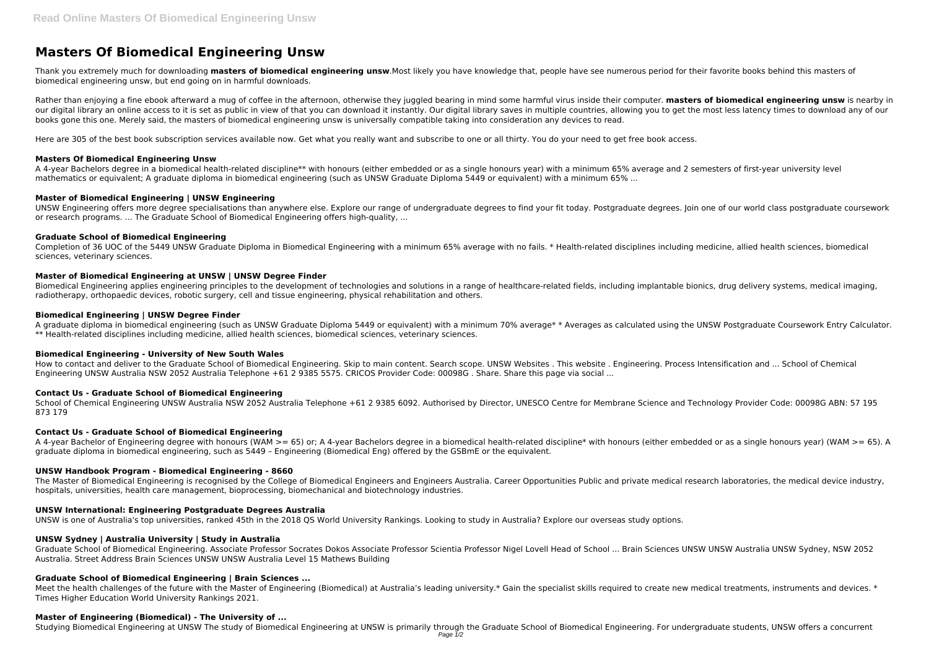# **Masters Of Biomedical Engineering Unsw**

Thank you extremely much for downloading **masters of biomedical engineering unsw**.Most likely you have knowledge that, people have see numerous period for their favorite books behind this masters of biomedical engineering unsw, but end going on in harmful downloads.

Rather than enjoying a fine ebook afterward a mug of coffee in the afternoon, otherwise they juggled bearing in mind some harmful virus inside their computer. **masters of biomedical engineering unsw** is nearby in our digital library an online access to it is set as public in view of that you can download it instantly. Our digital library saves in multiple countries, allowing you to get the most less latency times to download any of books gone this one. Merely said, the masters of biomedical engineering unsw is universally compatible taking into consideration any devices to read.

Here are 305 of the best book subscription services available now. Get what you really want and subscribe to one or all thirty. You do your need to get free book access.

#### **Masters Of Biomedical Engineering Unsw**

A 4-year Bachelors degree in a biomedical health-related discipline\*\* with honours (either embedded or as a single honours year) with a minimum 65% average and 2 semesters of first-year university level mathematics or equivalent; A graduate diploma in biomedical engineering (such as UNSW Graduate Diploma 5449 or equivalent) with a minimum 65% ...

#### **Master of Biomedical Engineering | UNSW Engineering**

UNSW Engineering offers more degree specialisations than anywhere else. Explore our range of undergraduate degrees to find your fit today. Postgraduate degrees. Join one of our world class postgraduate coursework or research programs. ... The Graduate School of Biomedical Engineering offers high-quality, ...

School of Chemical Engineering UNSW Australia NSW 2052 Australia Telephone +61 2 9385 6092. Authorised by Director, UNESCO Centre for Membrane Science and Technology Provider Code: 00098G ABN: 57 195 873 179

#### **Graduate School of Biomedical Engineering**

Completion of 36 UOC of the 5449 UNSW Graduate Diploma in Biomedical Engineering with a minimum 65% average with no fails. \* Health-related disciplines including medicine, allied health sciences, biomedical sciences, veterinary sciences.

#### **Master of Biomedical Engineering at UNSW | UNSW Degree Finder**

Biomedical Engineering applies engineering principles to the development of technologies and solutions in a range of healthcare-related fields, including implantable bionics, drug delivery systems, medical imaging, radiotherapy, orthopaedic devices, robotic surgery, cell and tissue engineering, physical rehabilitation and others.

#### **Biomedical Engineering | UNSW Degree Finder**

Meet the health challenges of the future with the Master of Engineering (Biomedical) at Australia's leading university.\* Gain the specialist skills required to create new medical treatments, instruments and devices. \* Times Higher Education World University Rankings 2021.

Studying Biomedical Engineering at UNSW The study of Biomedical Engineering at UNSW is primarily through the Graduate School of Biomedical Engineering. For undergraduate students, UNSW offers a concurrent Page  $1/2$ 

A graduate diploma in biomedical engineering (such as UNSW Graduate Diploma 5449 or equivalent) with a minimum 70% average\* \* Averages as calculated using the UNSW Postgraduate Coursework Entry Calculator. \*\* Health-related disciplines including medicine, allied health sciences, biomedical sciences, veterinary sciences.

#### **Biomedical Engineering - University of New South Wales**

How to contact and deliver to the Graduate School of Biomedical Engineering. Skip to main content. Search scope. UNSW Websites . This website . Engineering. Process Intensification and ... School of Chemical Engineering UNSW Australia NSW 2052 Australia Telephone +61 2 9385 5575. CRICOS Provider Code: 00098G . Share. Share this page via social ...

#### **Contact Us - Graduate School of Biomedical Engineering**

#### **Contact Us - Graduate School of Biomedical Engineering**

A 4-year Bachelor of Engineering degree with honours (WAM >= 65) or; A 4-year Bachelors degree in a biomedical health-related discipline\* with honours (either embedded or as a single honours year) (WAM >= 65). A graduate diploma in biomedical engineering, such as 5449 – Engineering (Biomedical Eng) offered by the GSBmE or the equivalent.

#### **UNSW Handbook Program - Biomedical Engineering - 8660**

The Master of Biomedical Engineering is recognised by the College of Biomedical Engineers and Engineers Australia. Career Opportunities Public and private medical research laboratories, the medical device industry, hospitals, universities, health care management, bioprocessing, biomechanical and biotechnology industries.

#### **UNSW International: Engineering Postgraduate Degrees Australia**

UNSW is one of Australia's top universities, ranked 45th in the 2018 QS World University Rankings. Looking to study in Australia? Explore our overseas study options.

#### **UNSW Sydney | Australia University | Study in Australia**

Graduate School of Biomedical Engineering. Associate Professor Socrates Dokos Associate Professor Scientia Professor Nigel Lovell Head of School ... Brain Sciences UNSW UNSW Australia UNSW Sydney, NSW 2052 Australia. Street Address Brain Sciences UNSW UNSW Australia Level 15 Mathews Building

# **Graduate School of Biomedical Engineering | Brain Sciences ...**

#### **Master of Engineering (Biomedical) - The University of ...**